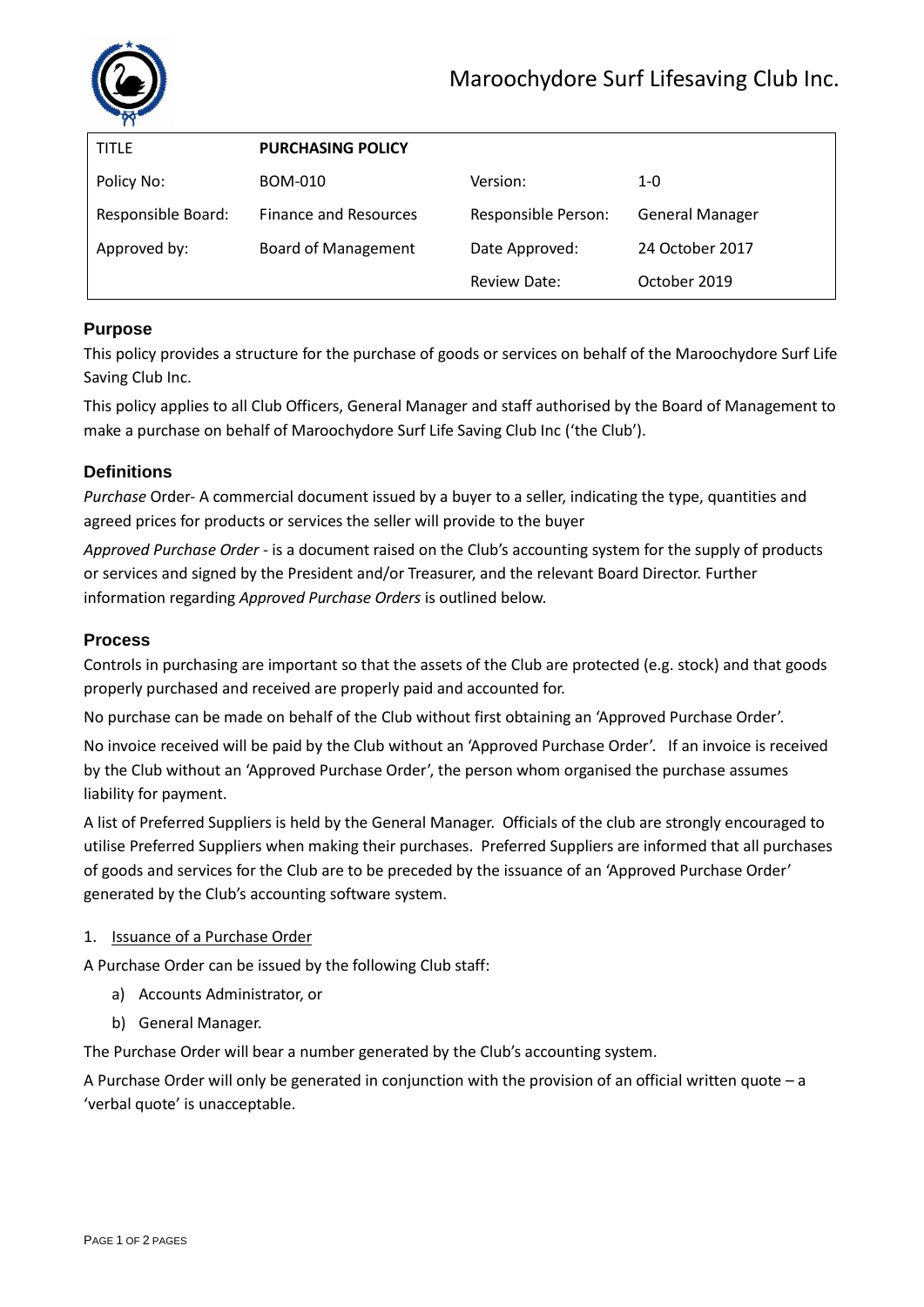

| <b>TITLE</b>       | <b>PURCHASING POLICY</b>     |                     |                        |
|--------------------|------------------------------|---------------------|------------------------|
| Policy No:         | <b>BOM-010</b>               | Version:            | $1 - 0$                |
| Responsible Board: | <b>Finance and Resources</b> | Responsible Person: | <b>General Manager</b> |
| Approved by:       | <b>Board of Management</b>   | Date Approved:      | 24 October 2017        |
|                    |                              | <b>Review Date:</b> | October 2019           |

# **Purpose**

This policy provides a structure for the purchase of goods or services on behalf of the Maroochydore Surf Life Saving Club Inc.

This policy applies to all Club Officers, General Manager and staff authorised by the Board of Management to make a purchase on behalf of Maroochydore Surf Life Saving Club Inc ('the Club').

## **Definitions**

*Purchase* Order- A commercial document issued by a buyer to a seller, indicating the type, quantities and agreed prices for products or services the seller will provide to the buyer

*Approved Purchase Order* - is a document raised on the Club's accounting system for the supply of products or services and signed by the President and/or Treasurer, and the relevant Board Director. Further information regarding *Approved Purchase Orders* is outlined below.

## **Process**

Controls in purchasing are important so that the assets of the Club are protected (e.g. stock) and that goods properly purchased and received are properly paid and accounted for.

No purchase can be made on behalf of the Club without first obtaining an 'Approved Purchase Order'.

No invoice received will be paid by the Club without an 'Approved Purchase Order'. If an invoice is received by the Club without an 'Approved Purchase Order', the person whom organised the purchase assumes liability for payment.

A list of Preferred Suppliers is held by the General Manager. Officials of the club are strongly encouraged to utilise Preferred Suppliers when making their purchases. Preferred Suppliers are informed that all purchases of goods and services for the Club are to be preceded by the issuance of an 'Approved Purchase Order' generated by the Club's accounting software system.

## 1. Issuance of a Purchase Order

A Purchase Order can be issued by the following Club staff:

- a) Accounts Administrator, or
- b) General Manager.

The Purchase Order will bear a number generated by the Club's accounting system.

A Purchase Order will only be generated in conjunction with the provision of an official written quote – a 'verbal quote' is unacceptable.